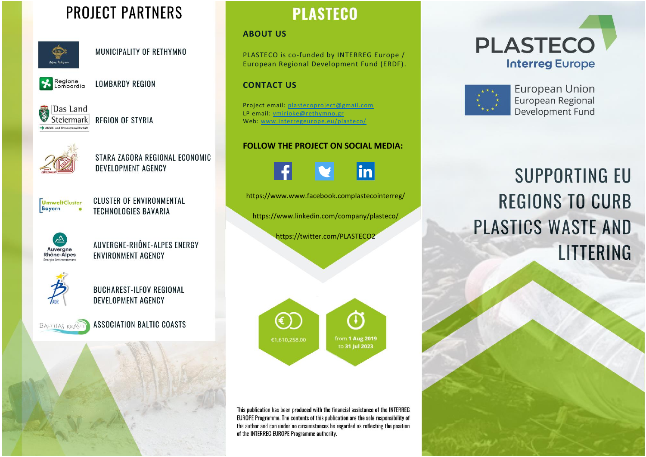# **PROJECT PARTNERS**



MUNICIPALITY OF RETHYMNO



**LOMBARDY REGION** 

Das Land Steiermark

**REGION OF STYRIA** 



STARA ZAGORA REGIONAL ECONOMIC **DEVELOPMENT AGENCY** 



**CLUSTER OF ENVIRONMENTAL TECHNOLOGIES BAVARIA** 



AUVERGNE-RHÔNE-ALPES ENERGY **ENVIRONMENT AGENCY** 



**BUCHAREST-ILFOV REGIONAL** DEVELOPMENT AGENCY



**ASSOCIATION BALTIC COASTS** 



#### **ABOUT US**

PLASTECO is co-funded by INTERREG Europe / European Regional Development Fund (ERDF).

#### **CONTACT US**

Project email: [plastecoproject@gmail.com](mailto:plastecoproject@gmail.com)  LP email: [vmirioke@rethymno.gr](mailto:vmirioke@rethymno.gr)  Web: [www.interregeurope.eu/plasteco/](http://www.interregeurope.eu/plasteco/)

#### **FOLLOW THE PROJECT ON SOCIAL MEDIA:**

in

https://www.www.facebook.complastecointerreg/

https://www.linkedin.com/company/plasteco/

https://twitter.com/PLASTECO2



This publication has been produced with the financial assistance of the INTERREG EUROPE Programme. The contents of this publication are the sole responsibility of the author and can under no circumstances be regarded as reflecting the position of the INTERREG EUROPE Programme authority.





**European Union** European Regional Development Fund

# **SUPPORTING EU REGIONS TO CURB** PLASTICS WASTE AND LITTERING